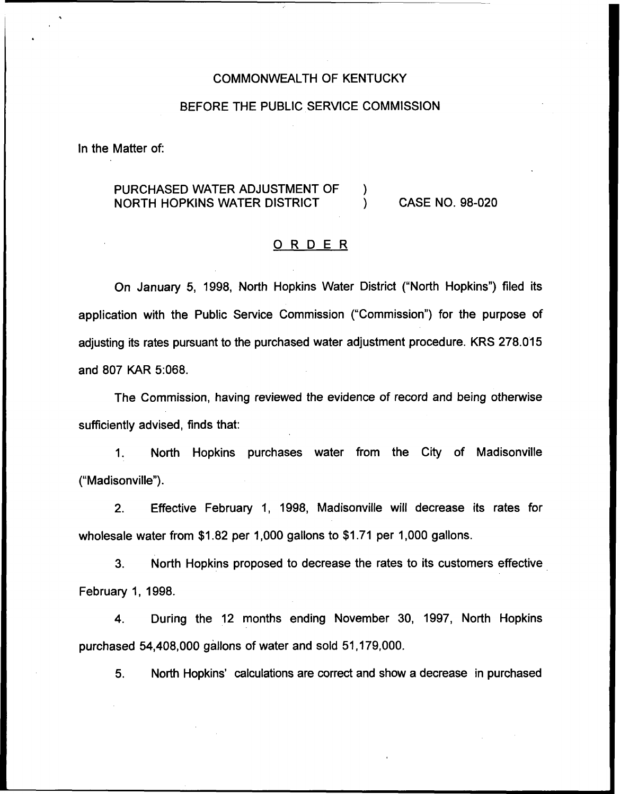### COMMONWEALTH OF KENTUCKY

### BEFORE THE PUBLIC SERVICE COMMISSION

In the Matter of:

# PURCHASED WATER ADJUSTMENT OF  $\qquad$ )<br>NORTH HOPKINS WATER DISTRICT NORTH HOPKINS WATER DISTRICT ) CASE NO. 98-020

# ORDER

On January 5, 1998, North Hopkins Water District ("North Hopkins") filed its application with the Public Service Commission ("Commission") for the purpose of adjusting its rates pursuant to the purchased water adjustment procedure. KRS 278.015 and 807 KAR 5:068.

The Commission, having reviewed the evidence of record and being otherwise sufficiently advised, finds that:

1. North Hopkins purchases water from the City of Madisonville ("Madisonville").

2. Effective February 1, 1998, Madisonville will decrease its rates for wholesale water from \$1.82 per 1,000 gallons to \$1.71 per 1,000 gallons.

3. North Hopkins proposed to decrease the rates to its customers effective February 1, 1998.

4. During the 12 months ending November 30, 1997, North Hopkins purchased 54,408,000 gallons of water and sold 51,179,000.

5. North Hopkins' calculations are correct and show a decrease in purchased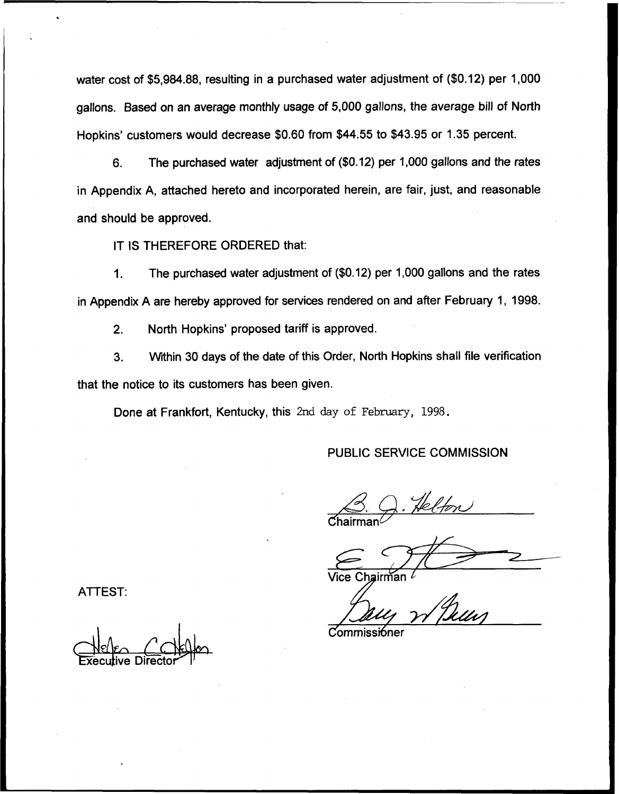water cost of \$5,984.88, resulting in a purchased water adjustment of (\$0.12) per 1,000 gallons. Based on an average monthly usage of 5,000 gallons, the average bill of North Hopkins' customers would decrease \$0.60 from \$44.55 to \$43.95 or 1.35 percent.

6. The purchased water adjustment of (\$0.12) per 'f,000 gallons and the rates in Appendix A, attached hereto and incorporated herein, are fair, just, and reasonable and should be approved.

IT IS THEREFORE ORDERED that:

The purchased water adjustment of (\$0.12) per 1,000 gallons and the rates  $\mathbf 1$ . in Appendix A are hereby approved for services rendered on and after February 1, 1998.

2. North Hopkins' proposed tariff is approved.

3. Within 30 days of the date of this Order, North Hopkins shall file verification that the notice to its customers has been given.

Done at Frankfort, Kentucky, this 2nd day of February, 1998.

### PUBLIC SERVICE COMMISSION

 $\mathsf{Chairman}\mathcal{C}$ 

Vice Chair

ATTEST:

I **xecutive Director** 

Commissi6ner